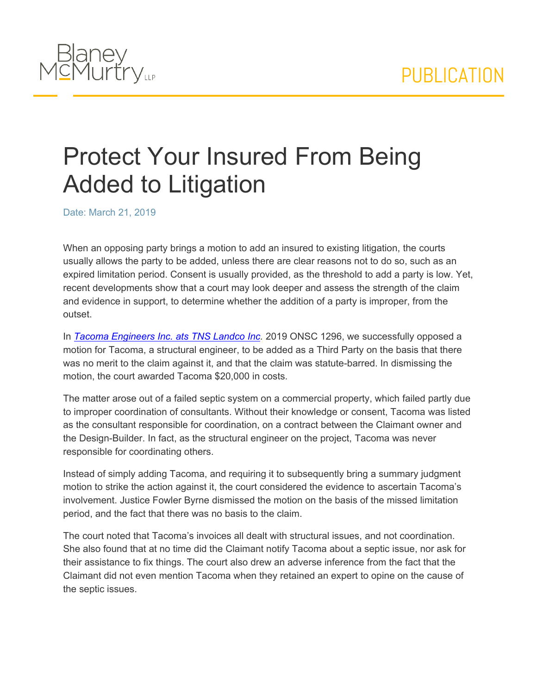

## Protect Your Insured From Being Added to Litigation

Date: March 21, 2019

When an opposing party brings a motion to add an insured to existing litigation, the courts usually allows the party to be added, unless there are clear reasons not to do so, such as an expired limitation period. Consent is usually provided, as the threshold to add a party is low. Yet, recent developments show that a court may look deeper and assess the strength of the claim and evidence in support, to determine whether the addition of a party is improper, from the outset.

In *[Tacoma](https://www.blaney.com//webfiles/2019-02-25%20-%20Reasons%20for%20Judgment%20(February....pdf) [Engineers](https://www.blaney.com//webfiles/2019-02-25%20-%20Reasons%20for%20Judgment%20(February....pdf) [Inc.](https://www.blaney.com//webfiles/2019-02-25%20-%20Reasons%20for%20Judgment%20(February....pdf) [ats](https://www.blaney.com//webfiles/2019-02-25%20-%20Reasons%20for%20Judgment%20(February....pdf) [TNS](https://www.blaney.com//webfiles/2019-02-25%20-%20Reasons%20for%20Judgment%20(February....pdf) [Landco](https://www.blaney.com//webfiles/2019-02-25%20-%20Reasons%20for%20Judgment%20(February....pdf) [Inc.](https://www.blaney.com//webfiles/2019-02-25%20-%20Reasons%20for%20Judgment%20(February....pdf)* 2019 ONSC 1296, we successfully opposed a motion for Tacoma, a structural engineer, to be added as a Third Party on the basis that there was no merit to the claim against it, and that the claim was statute-barred. In dismissing the motion, the court awarded Tacoma \$20,000 in costs.

The matter arose out of a failed septic system on a commercial property, which failed partly due to improper coordination of consultants. Without their knowledge or consent, Tacoma was listed as the consultant responsible for coordination, on a contract between the Claimant owner and the Design-Builder. In fact, as the structural engineer on the project, Tacoma was never responsible for coordinating others.

Instead of simply adding Tacoma, and requiring it to subsequently bring a summary judgment motion to strike the action against it, the court considered the evidence to ascertain Tacoma's involvement. Justice Fowler Byrne dismissed the motion on the basis of the missed limitation period, and the fact that there was no basis to the claim.

The court noted that Tacoma's invoices all dealt with structural issues, and not coordination. She also found that at no time did the Claimant notify Tacoma about a septic issue, nor ask for their assistance to fix things. The court also drew an adverse inference from the fact that the Claimant did not even mention Tacoma when they retained an expert to opine on the cause of the septic issues.